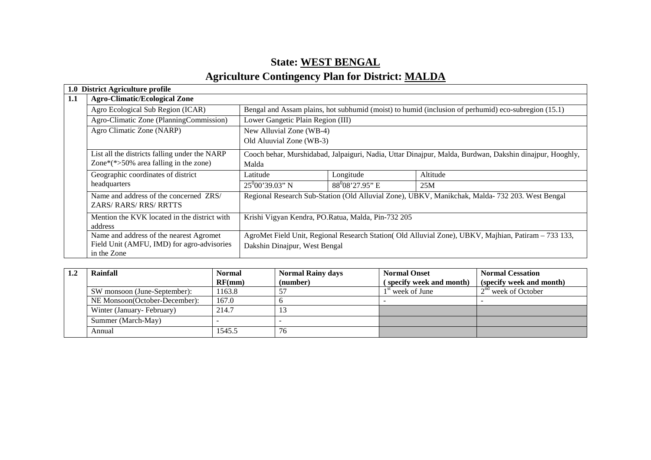# **State: WEST BENGAL**

# **Agriculture Contingency Plan for District: MALDA**

|     | 1.0 District Agriculture profile                                                              |                                   |                                                    |                                                                                                         |
|-----|-----------------------------------------------------------------------------------------------|-----------------------------------|----------------------------------------------------|---------------------------------------------------------------------------------------------------------|
| 1.1 | <b>Agro-Climatic/Ecological Zone</b>                                                          |                                   |                                                    |                                                                                                         |
|     | Agro Ecological Sub Region (ICAR)                                                             |                                   |                                                    | Bengal and Assam plains, hot subhumid (moist) to humid (inclusion of perhumid) eco-subregion (15.1)     |
|     | Agro-Climatic Zone (PlanningCommission)                                                       | Lower Gangetic Plain Region (III) |                                                    |                                                                                                         |
|     | Agro Climatic Zone (NARP)                                                                     | New Alluvial Zone (WB-4)          |                                                    |                                                                                                         |
|     |                                                                                               | Old Aluuvial Zone (WB-3)          |                                                    |                                                                                                         |
|     | List all the districts falling under the NARP<br>Zone $*(\ast$ >50% area falling in the zone) | Malda                             |                                                    | Cooch behar, Murshidabad, Jalpaiguri, Nadia, Uttar Dinajpur, Malda, Burdwan, Dakshin dinajpur, Hooghly, |
|     | Geographic coordinates of district                                                            | Latitude                          | Longitude                                          | Altitude                                                                                                |
|     | headquarters                                                                                  | $25^{0}00'39.03"$ N               | $88^{0}08'27.95"$ E                                | 25M                                                                                                     |
|     | Name and address of the concerned ZRS/<br>ZARS/RARS/RRS/RRTTS                                 |                                   |                                                    | Regional Research Sub-Station (Old Alluvial Zone), UBKV, Manikchak, Malda-732 203. West Bengal          |
|     | Mention the KVK located in the district with<br>address                                       |                                   | Krishi Vigyan Kendra, PO.Ratua, Malda, Pin-732 205 |                                                                                                         |
|     | Name and address of the nearest Agromet                                                       |                                   |                                                    | AgroMet Field Unit, Regional Research Station (Old Alluvial Zone), UBKV, Majhian, Patiram - 733 133,    |
|     | Field Unit (AMFU, IMD) for agro-advisories<br>in the Zone                                     | Dakshin Dinajpur, West Bengal     |                                                    |                                                                                                         |

| Rainfall                      | <b>Normal</b> | <b>Normal Rainy days</b> | <b>Normal Onset</b>      | <b>Normal Cessation</b>  |
|-------------------------------|---------------|--------------------------|--------------------------|--------------------------|
|                               | RF(mm)        | (number)                 | (specify week and month) | (specify week and month) |
| SW monsoon (June-September):  | 1163.8        |                          | $1st$ week of June       | $2nd$ week of October    |
| NE Monsoon(October-December): | 167.0         |                          |                          |                          |
| Winter (January-February)     | 214.7         | IJ                       |                          |                          |
| Summer (March-May)            |               |                          |                          |                          |
| Annual                        | 1545.5        | 76                       |                          |                          |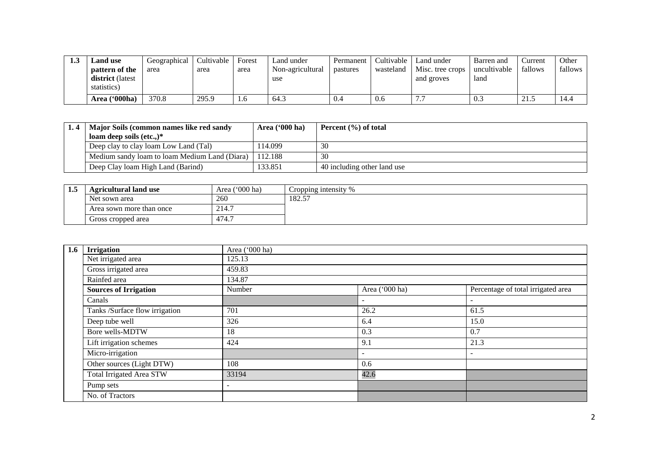| 1.3 | <b>Land</b> use                                          | Geographical | Cultivable | Forest | Land under              | Permanent | Cultivable | Land under                     | Barren and           | Current | Other   |
|-----|----------------------------------------------------------|--------------|------------|--------|-------------------------|-----------|------------|--------------------------------|----------------------|---------|---------|
|     | pattern of the<br><b>district</b> (latest<br>statistics) | area         | area       | area   | Non-agricultural<br>use | pastures  | wasteland  | Misc. tree crops<br>and groves | uncultivable<br>land | fallows | fallows |
|     | Area ('000ha)                                            | 370.8        | 295.9      | 1.v    | 64.3                    | 0.4       | 0.6        |                                | v                    | 21.5    | 14.4    |

| 1.4   Major Soils (common names like red sandy | Area $(900 \text{ ha})$ | Percent $(\% )$ of total    |
|------------------------------------------------|-------------------------|-----------------------------|
| loam deep soils $(\text{etc.})^*$              |                         |                             |
| Deep clay to clay loam Low Land (Tal)          | 114.099                 | 30                          |
| Medium sandy loam to loam Medium Land (Diara)  | 112.188                 | 30                          |
| Deep Clay loam High Land (Barind)              | 133.851                 | 40 including other land use |

| - | <b>Agricultural land use</b>     | $^{\prime}$ (000 ha)<br>Area | Cropping intensity % |
|---|----------------------------------|------------------------------|----------------------|
|   | Net sown area                    | 260                          | 182.57               |
|   | 214.<br>Area sown more than once |                              |                      |
|   | Gross cropped area               | 474.                         |                      |

| 1.6 | <b>Irrigation</b>               | Area ('000 ha) |                          |                                    |  |  |  |  |  |  |
|-----|---------------------------------|----------------|--------------------------|------------------------------------|--|--|--|--|--|--|
|     | Net irrigated area              | 125.13         |                          |                                    |  |  |  |  |  |  |
|     | Gross irrigated area            | 459.83         |                          |                                    |  |  |  |  |  |  |
|     | Rainfed area                    | 134.87         |                          |                                    |  |  |  |  |  |  |
|     | <b>Sources of Irrigation</b>    | Number         | Area ('000 ha)           | Percentage of total irrigated area |  |  |  |  |  |  |
|     | Canals                          |                |                          | $\overline{\phantom{a}}$           |  |  |  |  |  |  |
|     | Tanks /Surface flow irrigation  | 701            | 26.2                     | 61.5                               |  |  |  |  |  |  |
|     | Deep tube well                  | 326            | 6.4                      | 15.0                               |  |  |  |  |  |  |
|     | Bore wells-MDTW                 | 18             | 0.3                      | 0.7                                |  |  |  |  |  |  |
|     | Lift irrigation schemes         | 424            | 9.1                      | 21.3                               |  |  |  |  |  |  |
|     | Micro-irrigation                |                | $\overline{\phantom{a}}$ | $\overline{\phantom{a}}$           |  |  |  |  |  |  |
|     | Other sources (Light DTW)       | 108            | 0.6                      |                                    |  |  |  |  |  |  |
|     | <b>Total Irrigated Area STW</b> | 33194          | 42.6                     |                                    |  |  |  |  |  |  |
|     | Pump sets                       | ۰              |                          |                                    |  |  |  |  |  |  |
|     | No. of Tractors                 |                |                          |                                    |  |  |  |  |  |  |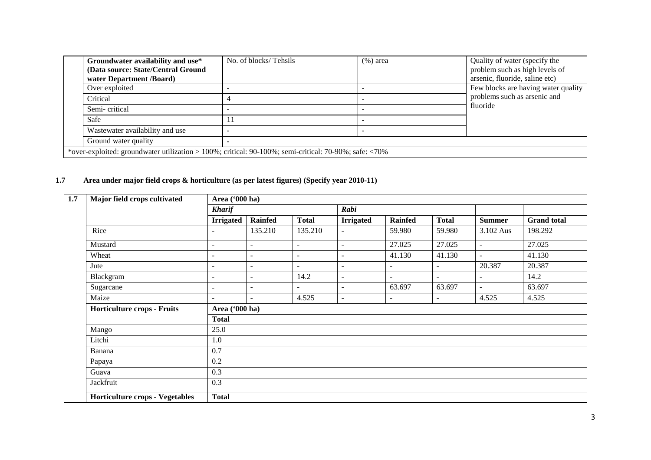|      | Groundwater availability and use*<br>(Data source: State/Central Ground<br>water Department /Board) | No. of blocks/Tehsils                                                                                 | $(\%)$ area | Quality of water (specify the<br>problem such as high levels of<br>arsenic, fluoride, saline etc) |
|------|-----------------------------------------------------------------------------------------------------|-------------------------------------------------------------------------------------------------------|-------------|---------------------------------------------------------------------------------------------------|
|      | Over exploited                                                                                      |                                                                                                       |             | Few blocks are having water quality                                                               |
|      | Critical                                                                                            |                                                                                                       |             | problems such as arsenic and                                                                      |
|      | Semi-critical                                                                                       |                                                                                                       |             | fluoride                                                                                          |
| Safe |                                                                                                     |                                                                                                       |             |                                                                                                   |
|      | Wastewater availability and use                                                                     |                                                                                                       |             |                                                                                                   |
|      | Ground water quality                                                                                |                                                                                                       |             |                                                                                                   |
|      |                                                                                                     | *over-exploited: groundwater utilization > 100%; critical: 90-100%; semi-critical: 70-90%; safe: <70% |             |                                                                                                   |

## **1.7 Area under major field crops & horticulture (as per latest figures) (Specify year 2010-11)**

| 1.7 | Major field crops cultivated           |                          | Area ('000 ha)           |                          |                          |                          |                |               |                    |
|-----|----------------------------------------|--------------------------|--------------------------|--------------------------|--------------------------|--------------------------|----------------|---------------|--------------------|
|     |                                        | <b>Kharif</b>            |                          |                          | Rabi                     |                          |                |               |                    |
|     |                                        | <b>Irrigated</b>         | <b>Rainfed</b>           | <b>Total</b>             | <b>Irrigated</b>         | <b>Rainfed</b>           | <b>Total</b>   | <b>Summer</b> | <b>Grand</b> total |
|     | Rice                                   | $\blacksquare$           | 135.210                  | 135.210                  |                          | 59.980                   | 59.980         | 3.102 Aus     | 198.292            |
|     | Mustard                                | $\overline{\phantom{a}}$ | $\blacksquare$           | $\overline{\phantom{a}}$ | $\blacksquare$           | 27.025                   | 27.025         | $\sim$        | 27.025             |
|     | Wheat                                  | $\overline{\phantom{a}}$ | $\overline{\phantom{a}}$ | $\overline{\phantom{a}}$ | $\overline{\phantom{a}}$ | 41.130                   | 41.130         | $\sim$        | 41.130             |
|     | Jute                                   | $\overline{\phantom{a}}$ | $\blacksquare$           | $\sim$                   | $\overline{\phantom{a}}$ | $\overline{\phantom{a}}$ | $\sim$         | 20.387        | 20.387             |
|     | Blackgram                              | $\overline{\phantom{a}}$ | $\blacksquare$           | 14.2                     | $\blacksquare$           | $\blacksquare$           | $\blacksquare$ | $\sim$        | 14.2               |
|     | Sugarcane                              | $\blacksquare$           | $\blacksquare$           |                          | $\overline{\phantom{a}}$ | 63.697                   | 63.697         | $\sim$        | 63.697             |
|     | Maize                                  | $\overline{\phantom{a}}$ | $\overline{\phantom{a}}$ | 4.525                    | $\sim$                   | $\overline{\phantom{a}}$ | $\sim$         | 4.525         | 4.525              |
|     | <b>Horticulture crops - Fruits</b>     | Area ('000 ha)           |                          |                          |                          |                          |                |               |                    |
|     |                                        | <b>Total</b>             |                          |                          |                          |                          |                |               |                    |
|     | Mango                                  | 25.0                     |                          |                          |                          |                          |                |               |                    |
|     | Litchi                                 | 1.0                      |                          |                          |                          |                          |                |               |                    |
|     | Banana                                 | 0.7                      |                          |                          |                          |                          |                |               |                    |
|     | Papaya                                 | 0.2                      |                          |                          |                          |                          |                |               |                    |
|     | Guava                                  | 0.3                      |                          |                          |                          |                          |                |               |                    |
|     | Jackfruit                              | 0.3                      |                          |                          |                          |                          |                |               |                    |
|     | <b>Horticulture crops - Vegetables</b> | <b>Total</b>             |                          |                          |                          |                          |                |               |                    |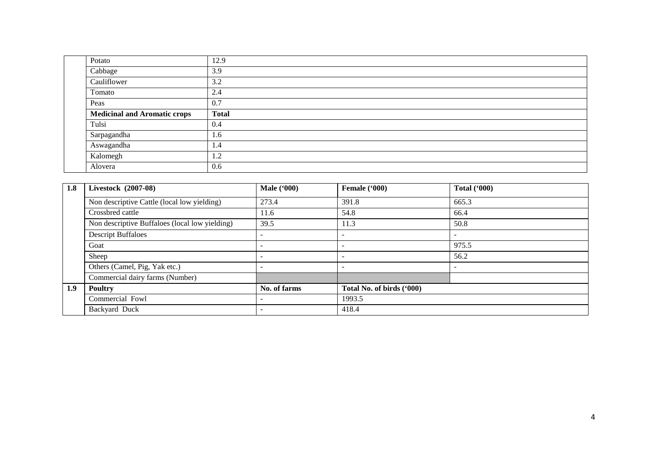| Potato                              | 12.9         |
|-------------------------------------|--------------|
| Cabbage                             | 3.9          |
| Cauliflower                         | 3.2          |
| Tomato                              | 2.4          |
| Peas                                | 0.7          |
| <b>Medicinal and Aromatic crops</b> | <b>Total</b> |
| Tulsi                               | 0.4          |
| Sarpagandha                         | 1.6          |
| Aswagandha                          | 1.4          |
| Kalomegh                            | 1.2          |
| Alovera                             | 0.6          |

| 1.8 | <b>Livestock</b> (2007-08)                     | <b>Male</b> ('000) | Female ('000) | Total $(900)$             |  |
|-----|------------------------------------------------|--------------------|---------------|---------------------------|--|
|     | Non descriptive Cattle (local low yielding)    | 273.4              | 391.8         | 665.3                     |  |
|     | Crossbred cattle                               | 11.6               | 54.8          | 66.4                      |  |
|     | Non descriptive Buffaloes (local low yielding) | 39.5               | 11.3          | 50.8                      |  |
|     | <b>Descript Buffaloes</b>                      |                    |               |                           |  |
|     | Goat                                           |                    |               | 975.5                     |  |
|     | Sheep                                          |                    |               | 56.2                      |  |
|     | Others (Camel, Pig, Yak etc.)                  |                    |               |                           |  |
|     | Commercial dairy farms (Number)                |                    |               |                           |  |
| 1.9 | <b>Poultry</b>                                 | No. of farms       |               | Total No. of birds ('000) |  |
|     | Commercial Fowl                                |                    | 1993.5        |                           |  |
|     | Backyard Duck                                  |                    | 418.4         |                           |  |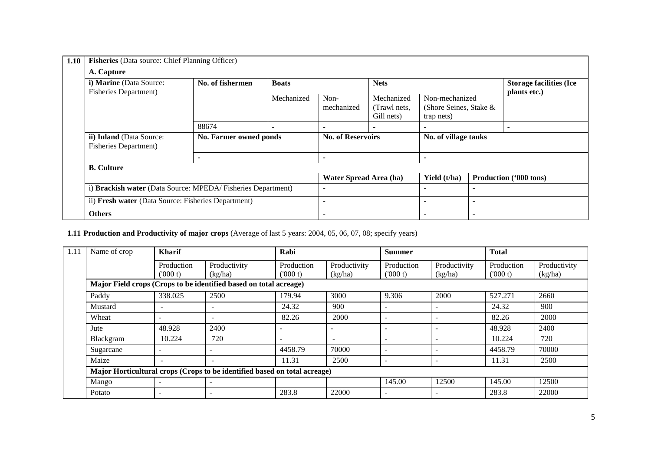| 1.10 | Fisheries (Data source: Chief Planning Officer)              |                        |              |                                                                              |                                          |                                                           |  |                                                |  |
|------|--------------------------------------------------------------|------------------------|--------------|------------------------------------------------------------------------------|------------------------------------------|-----------------------------------------------------------|--|------------------------------------------------|--|
|      | A. Capture                                                   |                        |              |                                                                              |                                          |                                                           |  |                                                |  |
|      | i) Marine (Data Source:<br><b>Fisheries Department)</b>      | No. of fishermen       | <b>Boats</b> |                                                                              | <b>Nets</b>                              |                                                           |  | <b>Storage facilities (Ice</b><br>plants etc.) |  |
|      |                                                              |                        | Mechanized   | Non-<br>mechanized                                                           | Mechanized<br>(Trawl nets,<br>Gill nets) | Non-mechanized<br>(Shore Seines, Stake $\&$<br>trap nets) |  |                                                |  |
|      |                                                              | 88674                  |              |                                                                              |                                          | $\blacksquare$                                            |  | ۰                                              |  |
|      | ii) Inland (Data Source:<br><b>Fisheries Department</b> )    | No. Farmer owned ponds |              | <b>No. of Reservoirs</b><br>No. of village tanks<br>$\overline{\phantom{a}}$ |                                          |                                                           |  |                                                |  |
|      |                                                              | ٠                      |              |                                                                              |                                          |                                                           |  |                                                |  |
|      | <b>B.</b> Culture                                            |                        |              |                                                                              |                                          |                                                           |  |                                                |  |
|      |                                                              |                        |              | Water Spread Area (ha)                                                       |                                          | Yield (t/ha)                                              |  | Production ('000 tons)                         |  |
|      | i) Brackish water (Data Source: MPEDA/ Fisheries Department) |                        |              |                                                                              |                                          |                                                           |  |                                                |  |
|      | ii) Fresh water (Data Source: Fisheries Department)          |                        |              |                                                                              |                                          |                                                           |  |                                                |  |
|      | <b>Others</b>                                                |                        |              |                                                                              |                                          | $\overline{\phantom{a}}$                                  |  |                                                |  |

# **1.11 Production and Productivity of major crops** (Average of last 5 years: 2004, 05, 06, 07, 08; specify years)

| 1.11 | Name of crop<br>Kharif |            |                                                                           | Rabi       |                          | <b>Summer</b> |              | <b>Total</b> |              |
|------|------------------------|------------|---------------------------------------------------------------------------|------------|--------------------------|---------------|--------------|--------------|--------------|
|      |                        | Production | Productivity                                                              | Production | Productivity             | Production    | Productivity | Production   | Productivity |
|      |                        | (000 t)    | (kg/ha)                                                                   | (000 t)    | (kg/ha)                  | (000 t)       | (kg/ha)      | (000 t)      | (kg/ha)      |
|      |                        |            | Major Field crops (Crops to be identified based on total acreage)         |            |                          |               |              |              |              |
|      | Paddy                  | 338.025    | 2500                                                                      | 179.94     | 3000                     | 9.306         | 2000         | 527.271      | 2660         |
|      | Mustard                |            |                                                                           | 24.32      | 900                      |               |              | 24.32        | 900          |
|      | Wheat                  |            | $\overline{\phantom{a}}$                                                  | 82.26      | 2000                     |               | ۰            | 82.26        | 2000         |
|      | Jute                   | 48.928     | 2400                                                                      |            |                          | -             | ۰            | 48.928       | 2400         |
|      | Blackgram              | 10.224     | 720                                                                       |            | $\overline{\phantom{a}}$ |               | ۰            | 10.224       | 720          |
|      | Sugarcane              |            |                                                                           | 4458.79    | 70000                    |               |              | 4458.79      | 70000        |
|      | Maize                  |            | $\overline{\phantom{a}}$                                                  | 11.31      | 2500                     |               | ۰            | 11.31        | 2500         |
|      |                        |            | Major Horticultural crops (Crops to be identified based on total acreage) |            |                          |               |              |              |              |
|      | Mango                  |            |                                                                           |            |                          | 145.00        | 12500        | 145.00       | 12500        |
|      | Potato                 |            |                                                                           | 283.8      | 22000                    |               | ۰            | 283.8        | 22000        |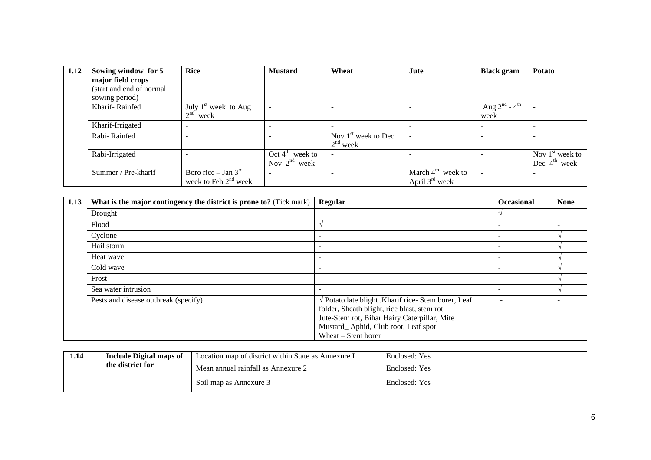| 1.12 | Sowing window for 5      | <b>Rice</b>            | <b>Mustard</b>              | Wheat                 | Jute                | <b>Black gram</b>        | <b>Potato</b>            |
|------|--------------------------|------------------------|-----------------------------|-----------------------|---------------------|--------------------------|--------------------------|
|      | major field crops        |                        |                             |                       |                     |                          |                          |
|      | (start and end of normal |                        |                             |                       |                     |                          |                          |
|      | sowing period)           |                        |                             |                       |                     |                          |                          |
|      | Kharif-Rainfed           | July $1st$ week to Aug | ۰                           |                       |                     | Aug $2^{nd}$ - $4^{th}$  |                          |
|      |                          | $2nd$ week             |                             |                       |                     | week                     |                          |
|      | Kharif-Irrigated         |                        |                             |                       |                     | $\overline{\phantom{a}}$ |                          |
|      | Rabi-Rainfed             |                        |                             | Nov $1st$ week to Dec | ۰                   |                          |                          |
|      |                          |                        |                             | $2nd$ week            |                     |                          |                          |
|      | Rabi-Irrigated           |                        | Oct $4^{\text{th}}$ week to |                       |                     |                          | Nov $1st$ week to        |
|      |                          |                        | Nov $2^{nd}$ week           |                       |                     |                          | Dec $4^{\text{th}}$ week |
|      | Summer / Pre-kharif      | Boro rice – Jan $3rd$  |                             |                       | March $4th$ week to |                          |                          |
|      |                          | week to Feb $2nd$ week |                             |                       | April $3rd$ week    |                          |                          |

| 1.13 | What is the major contingency the district is prone to? (Tick mark) | <b>Regular</b>                                                                                                                                                                                                  | <b>Occasional</b>        | <b>None</b> |
|------|---------------------------------------------------------------------|-----------------------------------------------------------------------------------------------------------------------------------------------------------------------------------------------------------------|--------------------------|-------------|
|      | Drought                                                             | ٠                                                                                                                                                                                                               |                          |             |
|      | Flood                                                               |                                                                                                                                                                                                                 |                          |             |
|      | Cyclone                                                             | ٠                                                                                                                                                                                                               | ٠                        |             |
|      | Hail storm                                                          | ۰                                                                                                                                                                                                               |                          |             |
|      | Heat wave                                                           |                                                                                                                                                                                                                 |                          |             |
|      | Cold wave                                                           | $\overline{\phantom{a}}$                                                                                                                                                                                        | $\overline{\phantom{0}}$ |             |
|      | Frost                                                               | $\overline{\phantom{a}}$                                                                                                                                                                                        | $\overline{\phantom{0}}$ |             |
|      | Sea water intrusion                                                 | $\overline{\phantom{0}}$                                                                                                                                                                                        | $\overline{\phantom{0}}$ |             |
|      | Pests and disease outbreak (specify)                                | √ Potato late blight .Kharif rice- Stem borer, Leaf<br>folder, Sheath blight, rice blast, stem rot<br>Jute-Stem rot, Bihar Hairy Caterpillar, Mite<br>Mustard_Aphid, Club root, Leaf spot<br>Wheat – Stem borer | $\overline{\phantom{0}}$ |             |

| 1.14 | <b>Include Digital maps of</b> | Location map of district within State as Annexure I | Enclosed: Yes |  |
|------|--------------------------------|-----------------------------------------------------|---------------|--|
|      | the district for               | Mean annual rainfall as Annexure 2                  | Enclosed: Yes |  |
|      |                                | Soil map as Annexure 3                              | Enclosed: Yes |  |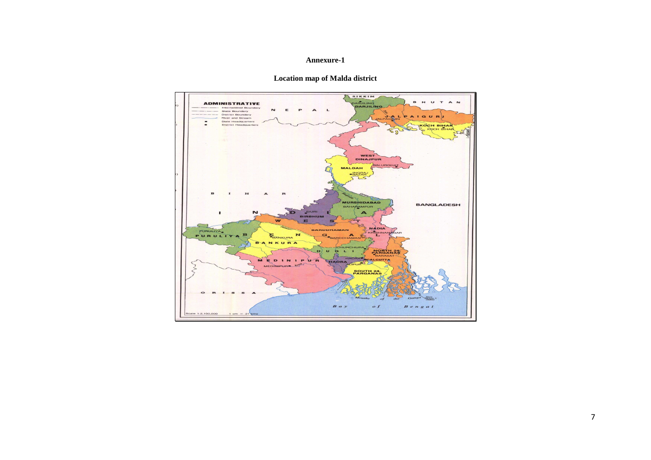#### **Annexure-1**



## **Location map of Malda district**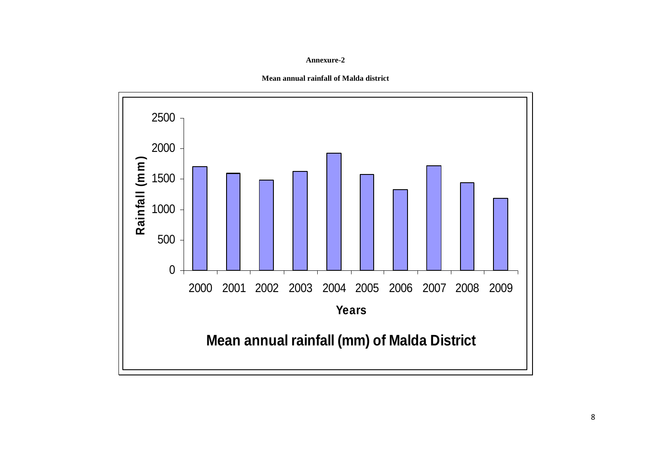#### **Annexure-2**



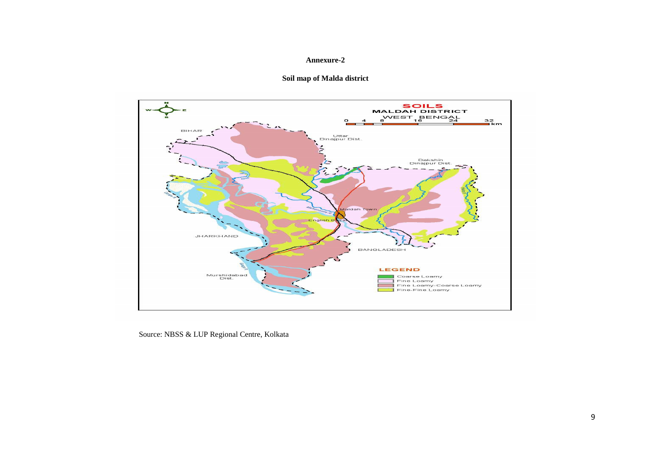#### **Annexure-2**



**Soil map of Malda district** 

Source: NBSS & LUP Regional Centre, Kolkata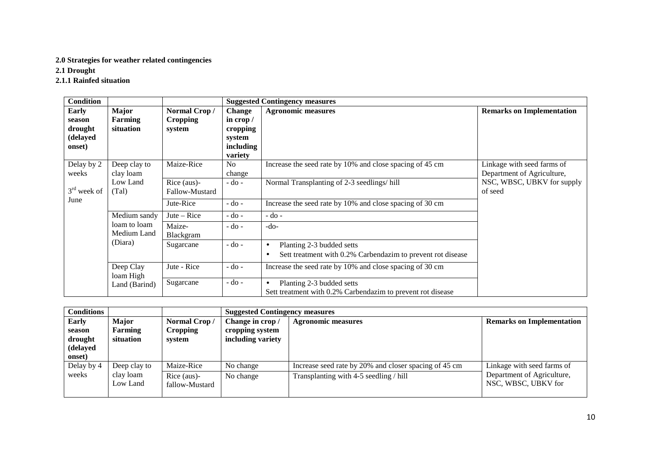## **2.0 Strategies for weather related contingencies**

**2.1 Drought** 

## **2.1.1 Rainfed situation**

| <b>Condition</b> |                        |                 |                     | <b>Suggested Contingency measures</b>                                    |                                  |
|------------------|------------------------|-----------------|---------------------|--------------------------------------------------------------------------|----------------------------------|
| <b>Early</b>     | <b>Major</b>           | Normal Crop/    | <b>Change</b>       | <b>Agronomic measures</b>                                                | <b>Remarks on Implementation</b> |
| season           | Farming                | <b>Cropping</b> | in $\text{crop } /$ |                                                                          |                                  |
| drought          | situation              | system          | cropping            |                                                                          |                                  |
| (delayed         |                        |                 | system              |                                                                          |                                  |
| onset)           |                        |                 | including           |                                                                          |                                  |
|                  |                        |                 | variety             |                                                                          |                                  |
| Delay by 2       | Deep clay to           | Maize-Rice      | No.                 | Increase the seed rate by 10% and close spacing of 45 cm                 | Linkage with seed farms of       |
| weeks            | clay loam              |                 | change              |                                                                          | Department of Agriculture,       |
|                  | Low Land               | $Rice (aus)$ -  | $-do -$             | Normal Transplanting of 2-3 seedlings/hill                               | NSC, WBSC, UBKV for supply       |
| $3rd$ week of    | (Tal)                  | Fallow-Mustard  |                     |                                                                          | of seed                          |
| June             |                        | Jute-Rice       | $-do$ -             | Increase the seed rate by 10% and close spacing of 30 cm                 |                                  |
|                  | Medium sandy           | $Jute - Rice$   | $-do -$             | $-do -$                                                                  |                                  |
|                  | loam to loam           | Maize-          | $-do -$             | $-do-$                                                                   |                                  |
|                  | Medium Land            | Blackgram       |                     |                                                                          |                                  |
|                  | (Diara)                | Sugarcane       | $-do$ -             | Planting 2-3 budded setts<br>$\bullet$                                   |                                  |
|                  |                        |                 |                     | Sett treatment with 0.2% Carbendazim to prevent rot disease<br>$\bullet$ |                                  |
|                  | Deep Clay<br>loam High | Jute - Rice     | $-do -$             | Increase the seed rate by 10% and close spacing of 30 cm                 |                                  |
|                  | Land (Barind)          | Sugarcane       | $-do -$             | Planting 2-3 budded setts<br>$\bullet$                                   |                                  |
|                  |                        |                 |                     | Sett treatment with 0.2% Carbendazim to prevent rot disease              |                                  |

| <b>Conditions</b>                                |                                       |                                               | <b>Suggested Contingency measures</b>                    |                                                                                                 |                                                                                 |
|--------------------------------------------------|---------------------------------------|-----------------------------------------------|----------------------------------------------------------|-------------------------------------------------------------------------------------------------|---------------------------------------------------------------------------------|
| Early<br>season<br>drought<br>(delayed<br>onset) | Major<br>Farming<br>situation         | Normal Crop/<br><b>Cropping</b><br>system     | Change in crop /<br>cropping system<br>including variety | <b>Agronomic measures</b>                                                                       | <b>Remarks on Implementation</b>                                                |
| Delay by 4<br>weeks                              | Deep clay to<br>clay loam<br>Low Land | Maize-Rice<br>$Rice$ (aus)-<br>fallow-Mustard | No change<br>No change                                   | Increase seed rate by 20% and closer spacing of 45 cm<br>Transplanting with 4-5 seedling / hill | Linkage with seed farms of<br>Department of Agriculture,<br>NSC, WBSC, UBKV for |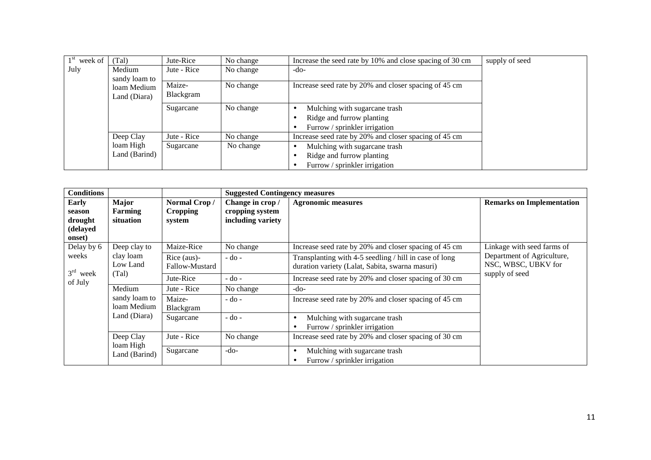| week of                                                                                              | (Tal)         | Jute-Rice   | No change | Increase the seed rate by 10% and close spacing of 30 cm | supply of seed |
|------------------------------------------------------------------------------------------------------|---------------|-------------|-----------|----------------------------------------------------------|----------------|
| July<br>Medium<br>Jute - Rice<br>sandy loam to<br>Maize-<br>loam Medium<br>Blackgram<br>Land (Diara) |               |             | No change | -do-                                                     |                |
|                                                                                                      |               |             | No change | Increase seed rate by 20% and closer spacing of 45 cm    |                |
|                                                                                                      |               | Sugarcane   | No change | Mulching with sugarcane trash                            |                |
|                                                                                                      |               |             |           | Ridge and furrow planting                                |                |
|                                                                                                      |               |             |           | Furrow / sprinkler irrigation                            |                |
|                                                                                                      | Deep Clay     | Jute - Rice | No change | Increase seed rate by 20% and closer spacing of 45 cm    |                |
|                                                                                                      | loam High     | Sugarcane   | No change | Mulching with sugarcane trash                            |                |
|                                                                                                      | Land (Barind) |             |           | Ridge and furrow planting                                |                |
|                                                                                                      |               |             |           | Furrow / sprinkler irrigation                            |                |

| <b>Conditions</b>                                |                                              | <b>Suggested Contingency measures</b>     |                                                         |                                                                                                           |                                                   |  |  |
|--------------------------------------------------|----------------------------------------------|-------------------------------------------|---------------------------------------------------------|-----------------------------------------------------------------------------------------------------------|---------------------------------------------------|--|--|
| Early<br>season<br>drought<br>(delayed<br>onset) | <b>Major</b><br>Farming<br>situation         | Normal Crop/<br><b>Cropping</b><br>system | Change in crop/<br>cropping system<br>including variety | <b>Agronomic measures</b>                                                                                 | <b>Remarks on Implementation</b>                  |  |  |
| Delay by 6                                       | Deep clay to                                 | Maize-Rice                                | No change                                               | Increase seed rate by 20% and closer spacing of 45 cm                                                     | Linkage with seed farms of                        |  |  |
| weeks<br>$3rd$ week                              | clay loam<br>Low Land<br>(Tal)               | $Rice (aus)$ -<br>Fallow-Mustard          | $-do$ -                                                 | Transplanting with 4-5 seedling / hill in case of long<br>duration variety (Lalat, Sabita, swarna masuri) | Department of Agriculture,<br>NSC, WBSC, UBKV for |  |  |
| of July                                          |                                              | Jute-Rice                                 | $-do$ -                                                 | Increase seed rate by 20% and closer spacing of 30 cm                                                     | supply of seed                                    |  |  |
|                                                  | Medium                                       | Jute - Rice                               | No change                                               | $-do-$                                                                                                    |                                                   |  |  |
|                                                  | sandy loam to<br>loam Medium<br>Land (Diara) | Maize-<br>Blackgram                       | $-do$ -                                                 | Increase seed rate by 20% and closer spacing of 45 cm                                                     |                                                   |  |  |
|                                                  |                                              | Sugarcane                                 | $-do$ -                                                 | Mulching with sugarcane trash<br>Furrow / sprinkler irrigation                                            |                                                   |  |  |
|                                                  | Deep Clay                                    | Jute - Rice                               | No change                                               | Increase seed rate by 20% and closer spacing of 30 cm                                                     |                                                   |  |  |
|                                                  | loam High<br>Land (Barind)                   | Sugarcane                                 | $-do-$                                                  | Mulching with sugarcane trash<br>Furrow / sprinkler irrigation                                            |                                                   |  |  |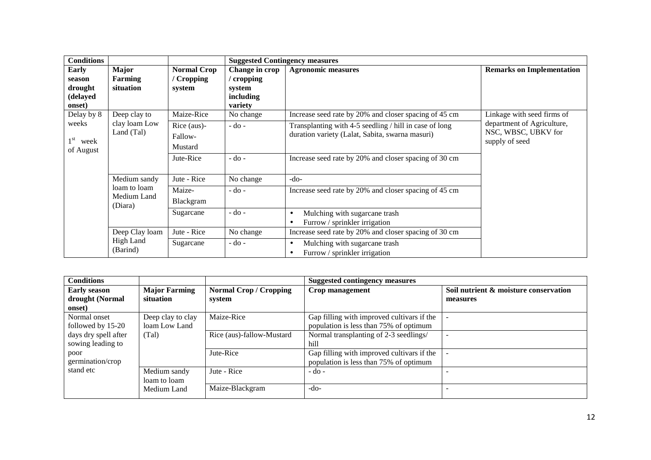| <b>Conditions</b>                                |                                        |                                            | <b>Suggested Contingency measures</b>                          |                                                                                                           |                                                                     |
|--------------------------------------------------|----------------------------------------|--------------------------------------------|----------------------------------------------------------------|-----------------------------------------------------------------------------------------------------------|---------------------------------------------------------------------|
| Early<br>season<br>drought<br>(delayed<br>onset) | Major<br>Farming<br>situation          | <b>Normal Crop</b><br>' Cropping<br>system | Change in crop<br>/ cropping<br>system<br>including<br>variety | <b>Agronomic measures</b>                                                                                 | <b>Remarks on Implementation</b>                                    |
| Delay by 8                                       | Deep clay to                           | Maize-Rice                                 | No change                                                      | Increase seed rate by 20% and closer spacing of 45 cm                                                     | Linkage with seed firms of                                          |
| weeks<br>$1^{\rm st}$<br>week<br>of August       | clay loam Low<br>Land (Tal)            |                                            | $-do -$                                                        | Transplanting with 4-5 seedling / hill in case of long<br>duration variety (Lalat, Sabita, swarna masuri) | department of Agriculture,<br>NSC, WBSC, UBKV for<br>supply of seed |
|                                                  |                                        | Jute-Rice                                  | $-do$ -                                                        | Increase seed rate by 20% and closer spacing of 30 cm                                                     |                                                                     |
|                                                  | Medium sandy                           | Jute - Rice                                | No change                                                      | $-do-$                                                                                                    |                                                                     |
|                                                  | loam to loam<br>Medium Land<br>(Diara) | Maize-<br>Blackgram                        | $-do -$                                                        | Increase seed rate by 20% and closer spacing of 45 cm                                                     |                                                                     |
|                                                  |                                        | Sugarcane                                  | $-do$ -                                                        | Mulching with sugarcane trash<br>$\bullet$<br>Furrow / sprinkler irrigation<br>$\bullet$                  |                                                                     |
|                                                  | Deep Clay loam                         | Jute - Rice                                | No change                                                      | Increase seed rate by 20% and closer spacing of 30 cm                                                     |                                                                     |
|                                                  | High Land<br>(Barind)                  | Sugarcane                                  | $-$ do $-$                                                     | Mulching with sugarcane trash<br>$\bullet$<br>Furrow / sprinkler irrigation<br>$\bullet$                  |                                                                     |

|                      |                             | <b>Suggested contingency measures</b>      |                                       |
|----------------------|-----------------------------|--------------------------------------------|---------------------------------------|
| <b>Major Farming</b> | <b>Normal Crop/Cropping</b> | Crop management                            | Soil nutrient & moisture conservation |
| situation            | system                      |                                            | measures                              |
|                      |                             |                                            |                                       |
| Deep clay to clay    | Maize-Rice                  | Gap filling with improved cultivars if the |                                       |
| loam Low Land        |                             | population is less than 75% of optimum     |                                       |
| (Tal)                | Rice (aus)-fallow-Mustard   | Normal transplanting of 2-3 seedlings/     |                                       |
|                      |                             | hill                                       |                                       |
|                      | Jute-Rice                   | Gap filling with improved cultivars if the |                                       |
|                      |                             | population is less than 75% of optimum     |                                       |
| Medium sandy         | Jute - Rice                 | $-do$ -                                    |                                       |
| loam to loam         |                             |                                            |                                       |
| Medium Land          | Maize-Blackgram             | $-do-$                                     |                                       |
|                      |                             |                                            |                                       |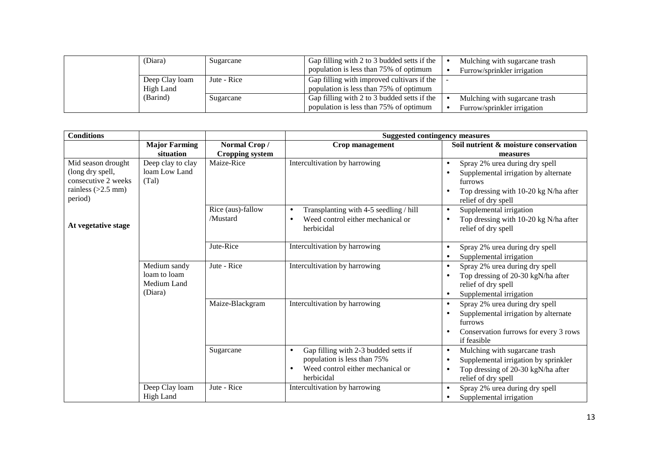|  | (Diara)                            | Sugarcane   | Gap filling with 2 to 3 budded setts if the<br>population is less than 75% of optimum | Mulching with sugarcane trash<br>Furrow/sprinkler irrigation |
|--|------------------------------------|-------------|---------------------------------------------------------------------------------------|--------------------------------------------------------------|
|  | Deep Clay loam<br><b>High Land</b> | Jute - Rice | Gap filling with improved cultivars if the<br>population is less than 75% of optimum  |                                                              |
|  | (Barind)                           | Sugarcane   | Gap filling with 2 to 3 budded setts if the<br>population is less than 75% of optimum | Mulching with sugarcane trash<br>Furrow/sprinkler irrigation |

| <b>Conditions</b>                                                                                |                                                        |                                        | <b>Suggested contingency measures</b>                                                                                               |                                                                                                                                                   |  |
|--------------------------------------------------------------------------------------------------|--------------------------------------------------------|----------------------------------------|-------------------------------------------------------------------------------------------------------------------------------------|---------------------------------------------------------------------------------------------------------------------------------------------------|--|
|                                                                                                  | <b>Major Farming</b><br>situation                      | Normal Crop/<br><b>Cropping system</b> | Crop management                                                                                                                     | Soil nutrient & moisture conservation<br>measures                                                                                                 |  |
| Mid season drought<br>(long dry spell,<br>consecutive 2 weeks<br>rainless $(>2.5$ mm)<br>period) | Deep clay to clay<br>loam Low Land<br>(Tal)            | Maize-Rice                             | Intercultivation by harrowing                                                                                                       | Spray 2% urea during dry spell<br>Supplemental irrigation by alternate<br>furrows<br>Top dressing with 10-20 kg N/ha after<br>relief of dry spell |  |
| At vegetative stage                                                                              |                                                        | Rice (aus)-fallow<br>/Mustard          | Transplanting with 4-5 seedling / hill<br>$\bullet$<br>Weed control either mechanical or<br>herbicidal                              | Supplemental irrigation<br>$\bullet$<br>Top dressing with 10-20 kg N/ha after<br>relief of dry spell                                              |  |
|                                                                                                  |                                                        | Jute-Rice                              | Intercultivation by harrowing                                                                                                       | Spray 2% urea during dry spell<br>$\bullet$<br>Supplemental irrigation                                                                            |  |
|                                                                                                  | Medium sandy<br>loam to loam<br>Medium Land<br>(Diara) | Jute - Rice                            | Intercultivation by harrowing                                                                                                       | Spray 2% urea during dry spell<br>Top dressing of 20-30 kgN/ha after<br>relief of dry spell<br>Supplemental irrigation                            |  |
|                                                                                                  |                                                        | Maize-Blackgram                        | Intercultivation by harrowing                                                                                                       | Spray 2% urea during dry spell<br>Supplemental irrigation by alternate<br>furrows<br>Conservation furrows for every 3 rows<br>if feasible         |  |
|                                                                                                  |                                                        | Sugarcane                              | Gap filling with 2-3 budded setts if<br>$\bullet$<br>population is less than 75%<br>Weed control either mechanical or<br>herbicidal | Mulching with sugarcane trash<br>$\bullet$<br>Supplemental irrigation by sprinkler<br>Top dressing of 20-30 kgN/ha after<br>relief of dry spell   |  |
|                                                                                                  | Deep Clay loam<br><b>High Land</b>                     | Jute - Rice                            | Intercultivation by harrowing                                                                                                       | Spray 2% urea during dry spell<br>Supplemental irrigation                                                                                         |  |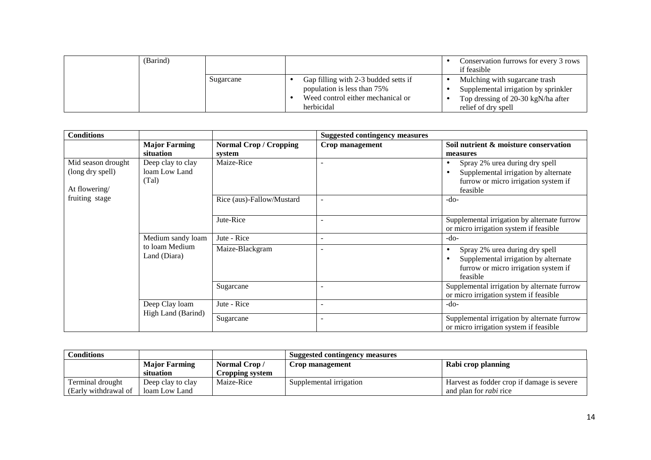| (Barind) |           |                                                                                                                        | Conservation furrows for every 3 rows<br>if feasible                                                                               |
|----------|-----------|------------------------------------------------------------------------------------------------------------------------|------------------------------------------------------------------------------------------------------------------------------------|
|          | Sugarcane | Gap filling with 2-3 budded setts if<br>population is less than 75%<br>Weed control either mechanical or<br>herbicidal | Mulching with sugarcane trash<br>Supplemental irrigation by sprinkler<br>Top dressing of 20-30 kgN/ha after<br>relief of dry spell |

| <b>Conditions</b>                                       |                                             |                                         | <b>Suggested contingency measures</b> |                                                                                                                                 |  |
|---------------------------------------------------------|---------------------------------------------|-----------------------------------------|---------------------------------------|---------------------------------------------------------------------------------------------------------------------------------|--|
|                                                         | <b>Major Farming</b><br>situation           | <b>Normal Crop / Cropping</b><br>system | Crop management                       | Soil nutrient & moisture conservation<br>measures                                                                               |  |
| Mid season drought<br>(long dry spell)<br>At flowering/ | Deep clay to clay<br>loam Low Land<br>(Tal) | Maize-Rice                              |                                       | Spray 2% urea during dry spell<br>Supplemental irrigation by alternate<br>furrow or micro irrigation system if<br>feasible      |  |
| fruiting stage                                          |                                             | Rice (aus)-Fallow/Mustard               |                                       | $-do-$                                                                                                                          |  |
|                                                         |                                             | Jute-Rice                               |                                       | Supplemental irrigation by alternate furrow<br>or micro irrigation system if feasible                                           |  |
|                                                         | Medium sandy loam                           | Jute - Rice                             | $\overline{\phantom{a}}$              | $-do-$                                                                                                                          |  |
|                                                         | to loam Medium<br>Land (Diara)              | Maize-Blackgram                         |                                       | Spray 2% urea during dry spell<br>٠<br>Supplemental irrigation by alternate<br>furrow or micro irrigation system if<br>feasible |  |
|                                                         |                                             | Sugarcane                               |                                       | Supplemental irrigation by alternate furrow<br>or micro irrigation system if feasible                                           |  |
|                                                         | Deep Clay loam<br>High Land (Barind)        | Jute - Rice                             |                                       | $-do-$                                                                                                                          |  |
|                                                         |                                             | Sugarcane                               |                                       | Supplemental irrigation by alternate furrow<br>or micro irrigation system if feasible                                           |  |

| <b>Conditions</b>    |                      |                 | <b>Suggested contingency measures</b> |                                            |
|----------------------|----------------------|-----------------|---------------------------------------|--------------------------------------------|
|                      | <b>Major Farming</b> | Normal Crop/    | Crop management                       | Rabi crop planning                         |
|                      | situation            | Cropping system |                                       |                                            |
| Terminal drought     | Deep clay to clay    | Maize-Rice      | Supplemental irrigation               | Harvest as fodder crop if damage is severe |
| (Early withdrawal of | loam Low Land        |                 |                                       | and plan for <i>rabi</i> rice              |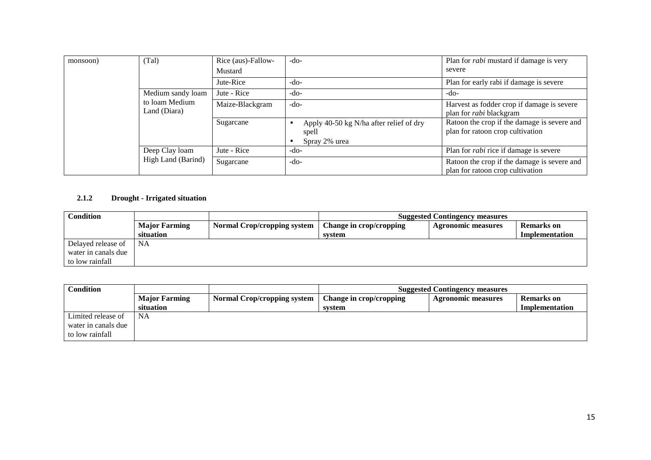| monsoon) | (Tal)                          | Rice (aus)-Fallow- | $-do-$                                                            | Plan for <i>rabi</i> mustard if damage is very                                  |
|----------|--------------------------------|--------------------|-------------------------------------------------------------------|---------------------------------------------------------------------------------|
|          |                                | Mustard            |                                                                   | severe                                                                          |
|          |                                | Jute-Rice          | $-do-$                                                            | Plan for early rabi if damage is severe                                         |
|          | Medium sandy loam              | Jute - Rice        | $-do-$                                                            | -do-                                                                            |
|          | to loam Medium<br>Land (Diara) | Maize-Blackgram    | $-do-$                                                            | Harvest as fodder crop if damage is severe<br>plan for <i>rabi</i> blackgram    |
|          |                                | Sugarcane          | Apply 40-50 kg N/ha after relief of dry<br>spell<br>Spray 2% urea | Ratoon the crop if the damage is severe and<br>plan for ratoon crop cultivation |
|          | Deep Clay loam                 | Jute - Rice        | -do-                                                              | Plan for <i>rabi</i> rice if damage is severe                                   |
|          | High Land (Barind)             | Sugarcane          | $-do-$                                                            | Ratoon the crop if the damage is severe and<br>plan for ratoon crop cultivation |

## **2.1.2 Drought - Irrigated situation**

| <b>Condition</b>    |                      | <b>Suggested Contingency measures</b> |                         |                           |                   |
|---------------------|----------------------|---------------------------------------|-------------------------|---------------------------|-------------------|
|                     | <b>Major Farming</b> | <b>Normal Crop/cropping system</b>    | Change in crop/cropping | <b>Agronomic measures</b> | <b>Remarks</b> on |
|                     | situation            |                                       | svstem                  |                           | Implementation    |
| Delayed release of  | <b>NA</b>            |                                       |                         |                           |                   |
| water in canals due |                      |                                       |                         |                           |                   |
| to low rainfall     |                      |                                       |                         |                           |                   |

| Condition           |                      |                                    | <b>Suggested Contingency measures</b> |                           |                   |
|---------------------|----------------------|------------------------------------|---------------------------------------|---------------------------|-------------------|
|                     | <b>Major Farming</b> | <b>Normal Crop/cropping system</b> | Change in crop/cropping               | <b>Agronomic measures</b> | <b>Remarks</b> on |
|                     | situation            |                                    | system                                |                           | Implementation    |
| Limited release of  | <b>NA</b>            |                                    |                                       |                           |                   |
| water in canals due |                      |                                    |                                       |                           |                   |
| to low rainfall     |                      |                                    |                                       |                           |                   |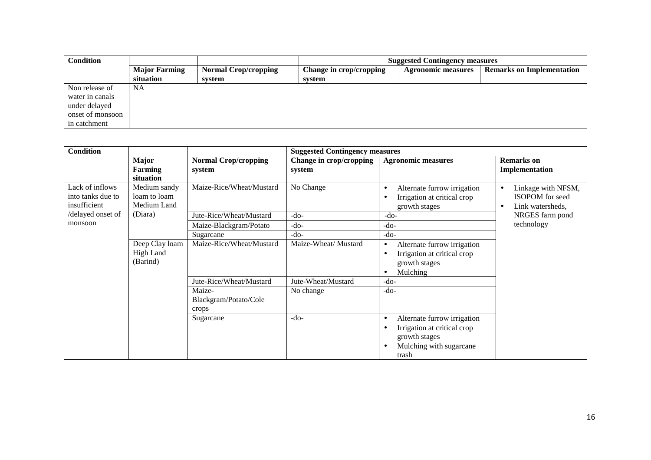| <b>Condition</b> |                      |                             | <b>Suggested Contingency measures</b> |                           |                                  |
|------------------|----------------------|-----------------------------|---------------------------------------|---------------------------|----------------------------------|
|                  | <b>Major Farming</b> | <b>Normal Crop/cropping</b> | Change in crop/cropping               | <b>Agronomic measures</b> | <b>Remarks on Implementation</b> |
|                  | situation            | system                      | system                                |                           |                                  |
| Non release of   | <b>NA</b>            |                             |                                       |                           |                                  |
| water in canals  |                      |                             |                                       |                           |                                  |
| under delayed    |                      |                             |                                       |                           |                                  |
| onset of monsoon |                      |                             |                                       |                           |                                  |
| in catchment     |                      |                             |                                       |                           |                                  |

| <b>Condition</b>  |                  |                             | <b>Suggested Contingency measures</b> |                                          |                                 |
|-------------------|------------------|-----------------------------|---------------------------------------|------------------------------------------|---------------------------------|
|                   | <b>Major</b>     | <b>Normal Crop/cropping</b> | Change in crop/cropping               | <b>Agronomic measures</b>                | <b>Remarks</b> on               |
|                   | Farming          | system                      | system                                |                                          | Implementation                  |
|                   | situation        |                             |                                       |                                          |                                 |
| Lack of inflows   | Medium sandy     | Maize-Rice/Wheat/Mustard    | No Change                             | Alternate furrow irrigation              | Linkage with NFSM,<br>$\bullet$ |
| into tanks due to | loam to loam     |                             |                                       | Irrigation at critical crop              | <b>ISOPOM</b> for seed          |
| insufficient      | Medium Land      |                             |                                       | growth stages                            | Link watersheds,<br>$\bullet$   |
| /delayed onset of | (Diara)          | Jute-Rice/Wheat/Mustard     | $-do-$                                | $-do-$                                   | NRGES farm pond                 |
| monsoon           |                  | Maize-Blackgram/Potato      | $-do-$                                | $-do-$                                   | technology                      |
|                   |                  | Sugarcane                   | $-do-$                                | $-do-$                                   |                                 |
|                   | Deep Clay loam   | Maize-Rice/Wheat/Mustard    | Maize-Wheat/ Mustard                  | Alternate furrow irrigation<br>$\bullet$ |                                 |
|                   | <b>High Land</b> |                             |                                       | Irrigation at critical crop              |                                 |
|                   | (Barind)         |                             |                                       | growth stages                            |                                 |
|                   |                  |                             |                                       | Mulching<br>$\bullet$                    |                                 |
|                   |                  | Jute-Rice/Wheat/Mustard     | Jute-Wheat/Mustard                    | $-do-$                                   |                                 |
|                   |                  | Maize-                      | No change                             | $-do-$                                   |                                 |
|                   |                  | Blackgram/Potato/Cole       |                                       |                                          |                                 |
|                   |                  | crops                       |                                       |                                          |                                 |
|                   |                  | Sugarcane                   | $-do-$                                | Alternate furrow irrigation<br>$\bullet$ |                                 |
|                   |                  |                             |                                       | Irrigation at critical crop              |                                 |
|                   |                  |                             |                                       | growth stages                            |                                 |
|                   |                  |                             |                                       | Mulching with sugarcane                  |                                 |
|                   |                  |                             |                                       | trash                                    |                                 |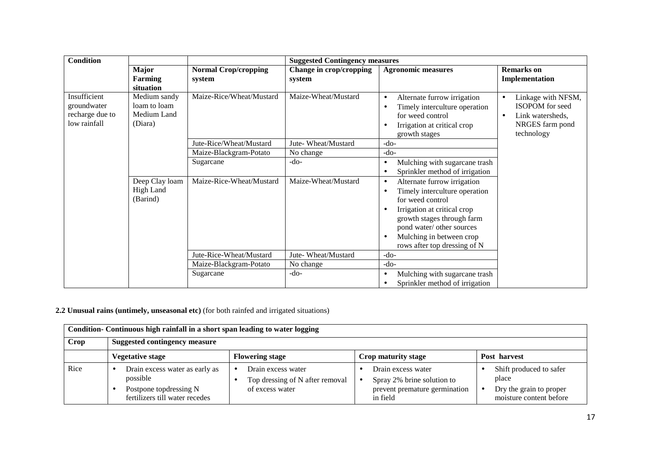| <b>Condition</b>                                               |                                                        |                                       | <b>Suggested Contingency measures</b> |                                                                                                                                                                                                                                                                  |                                                                                                                      |
|----------------------------------------------------------------|--------------------------------------------------------|---------------------------------------|---------------------------------------|------------------------------------------------------------------------------------------------------------------------------------------------------------------------------------------------------------------------------------------------------------------|----------------------------------------------------------------------------------------------------------------------|
|                                                                | Major<br><b>Farming</b><br>situation                   | <b>Normal Crop/cropping</b><br>system | Change in crop/cropping<br>system     | <b>Agronomic measures</b>                                                                                                                                                                                                                                        | <b>Remarks</b> on<br>Implementation                                                                                  |
| Insufficient<br>groundwater<br>recharge due to<br>low rainfall | Medium sandy<br>loam to loam<br>Medium Land<br>(Diara) | Maize-Rice/Wheat/Mustard              | Maize-Wheat/Mustard                   | Alternate furrow irrigation<br>$\bullet$<br>Timely interculture operation<br>for weed control<br>Irrigation at critical crop<br>growth stages                                                                                                                    | Linkage with NFSM,<br>$\bullet$<br>ISOPOM for seed<br>Link watersheds,<br>$\bullet$<br>NRGES farm pond<br>technology |
|                                                                |                                                        | Jute-Rice/Wheat/Mustard               | Jute- Wheat/Mustard                   | $-do-$                                                                                                                                                                                                                                                           |                                                                                                                      |
|                                                                |                                                        | Maize-Blackgram-Potato                | No change                             | $-do-$                                                                                                                                                                                                                                                           |                                                                                                                      |
|                                                                |                                                        | Sugarcane                             | $-do-$                                | Mulching with sugarcane trash<br>Sprinkler method of irrigation                                                                                                                                                                                                  |                                                                                                                      |
|                                                                | Deep Clay loam<br><b>High Land</b><br>(Barind)         | Maize-Rice-Wheat/Mustard              | Maize-Wheat/Mustard                   | Alternate furrow irrigation<br>$\bullet$<br>Timely interculture operation<br>for weed control<br>Irrigation at critical crop<br>$\bullet$<br>growth stages through farm<br>pond water/ other sources<br>Mulching in between crop<br>rows after top dressing of N |                                                                                                                      |
|                                                                |                                                        | Jute-Rice-Wheat/Mustard               | Jute-Wheat/Mustard                    | $-do-$                                                                                                                                                                                                                                                           |                                                                                                                      |
|                                                                |                                                        | Maize-Blackgram-Potato                | No change                             | $-do-$                                                                                                                                                                                                                                                           |                                                                                                                      |
|                                                                |                                                        | Sugarcane                             | $-do-$                                | Mulching with sugarcane trash<br>Sprinkler method of irrigation                                                                                                                                                                                                  |                                                                                                                      |

**2.2 Unusual rains (untimely, unseasonal etc)** (for both rainfed and irrigated situations)

|      | Condition- Continuous high rainfall in a short span leading to water logging                                        |                                                                          |                                                                                                            |                                                                                        |  |  |  |
|------|---------------------------------------------------------------------------------------------------------------------|--------------------------------------------------------------------------|------------------------------------------------------------------------------------------------------------|----------------------------------------------------------------------------------------|--|--|--|
| Crop | <b>Suggested contingency measure</b>                                                                                |                                                                          |                                                                                                            |                                                                                        |  |  |  |
|      | <b>Vegetative stage</b>                                                                                             | <b>Flowering stage</b>                                                   | Crop maturity stage                                                                                        | Post harvest                                                                           |  |  |  |
| Rice | Drain excess water as early as<br>$\bullet$<br>possible<br>Postpone topdressing N<br>fertilizers till water recedes | Drain excess water<br>Top dressing of N after removal<br>of excess water | Drain excess water<br>Spray 2% brine solution to<br>$\bullet$<br>prevent premature germination<br>in field | Shift produced to safer<br>place<br>Dry the grain to proper<br>moisture content before |  |  |  |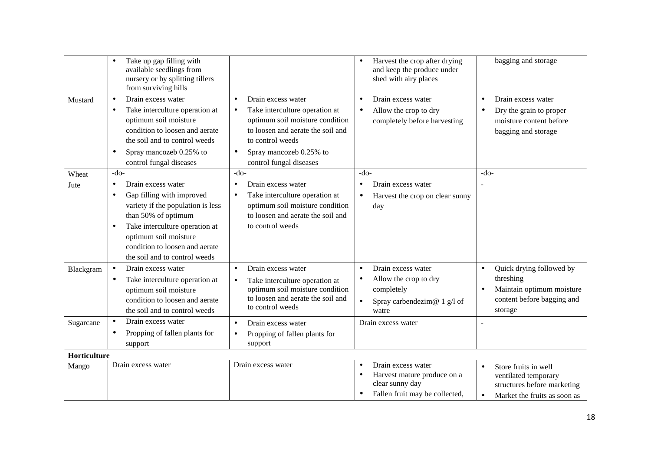|                        | Take up gap filling with<br>$\bullet$<br>available seedlings from<br>nursery or by splitting tillers<br>from surviving hills                                                                                                                                                     |                                                                                                                                                                                                                                               | Harvest the crop after drying<br>$\bullet$<br>and keep the produce under<br>shed with airy places                                                              | bagging and storage                                                                                                                   |
|------------------------|----------------------------------------------------------------------------------------------------------------------------------------------------------------------------------------------------------------------------------------------------------------------------------|-----------------------------------------------------------------------------------------------------------------------------------------------------------------------------------------------------------------------------------------------|----------------------------------------------------------------------------------------------------------------------------------------------------------------|---------------------------------------------------------------------------------------------------------------------------------------|
| Mustard                | Drain excess water<br>$\bullet$<br>Take interculture operation at<br>$\bullet$<br>optimum soil moisture<br>condition to loosen and aerate<br>the soil and to control weeds<br>Spray mancozeb 0.25% to<br>control fungal diseases                                                 | Drain excess water<br>$\bullet$<br>Take interculture operation at<br>$\bullet$<br>optimum soil moisture condition<br>to loosen and aerate the soil and<br>to control weeds<br>Spray mancozeb 0.25% to<br>$\bullet$<br>control fungal diseases | Drain excess water<br>$\bullet$<br>Allow the crop to dry<br>$\bullet$<br>completely before harvesting                                                          | Drain excess water<br>Dry the grain to proper<br>$\bullet$<br>moisture content before<br>bagging and storage                          |
| Wheat                  | $-do-$                                                                                                                                                                                                                                                                           | $-do-$                                                                                                                                                                                                                                        | $-do-$                                                                                                                                                         | $-do-$                                                                                                                                |
| Jute                   | Drain excess water<br>$\bullet$<br>Gap filling with improved<br>$\bullet$<br>variety if the population is less<br>than 50% of optimum<br>Take interculture operation at<br>$\bullet$<br>optimum soil moisture<br>condition to loosen and aerate<br>the soil and to control weeds | Drain excess water<br>$\bullet$<br>Take interculture operation at<br>$\bullet$<br>optimum soil moisture condition<br>to loosen and aerate the soil and<br>to control weeds                                                                    | Drain excess water<br>$\bullet$<br>Harvest the crop on clear sunny<br>$\bullet$<br>day                                                                         |                                                                                                                                       |
| Blackgram<br>Sugarcane | Drain excess water<br>$\bullet$<br>Take interculture operation at<br>$\bullet$<br>optimum soil moisture<br>condition to loosen and aerate<br>the soil and to control weeds<br>Drain excess water<br>$\bullet$                                                                    | Drain excess water<br>$\bullet$<br>Take interculture operation at<br>$\bullet$<br>optimum soil moisture condition<br>to loosen and aerate the soil and<br>to control weeds<br>Drain excess water<br>$\bullet$                                 | Drain excess water<br>$\bullet$<br>Allow the crop to dry<br>$\bullet$<br>completely<br>Spray carbendezim@ 1 g/l of<br>$\bullet$<br>watre<br>Drain excess water | Quick drying followed by<br>threshing<br>Maintain optimum moisture<br>$\bullet$<br>content before bagging and<br>storage              |
|                        | Propping of fallen plants for<br>support                                                                                                                                                                                                                                         | Propping of fallen plants for<br>$\bullet$<br>support                                                                                                                                                                                         |                                                                                                                                                                |                                                                                                                                       |
| Horticulture           |                                                                                                                                                                                                                                                                                  |                                                                                                                                                                                                                                               |                                                                                                                                                                |                                                                                                                                       |
| Mango                  | Drain excess water                                                                                                                                                                                                                                                               | Drain excess water                                                                                                                                                                                                                            | Drain excess water<br>$\bullet$<br>Harvest mature produce on a<br>$\bullet$<br>clear sunny day<br>Fallen fruit may be collected,<br>$\bullet$                  | Store fruits in well<br>$\bullet$<br>ventilated temporary<br>structures before marketing<br>Market the fruits as soon as<br>$\bullet$ |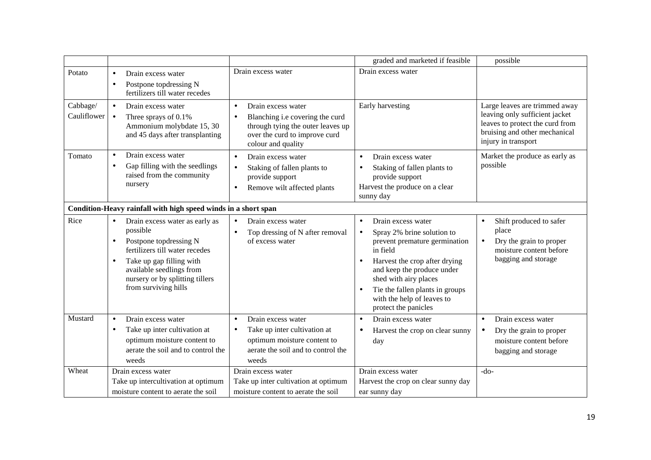|                         |                                                                                                                                                                                                                                                                  |                                                                                                                                                                             | graded and marketed if feasible                                                                                                                                                                                                                                                                                                    | possible                                                                                                                                                   |
|-------------------------|------------------------------------------------------------------------------------------------------------------------------------------------------------------------------------------------------------------------------------------------------------------|-----------------------------------------------------------------------------------------------------------------------------------------------------------------------------|------------------------------------------------------------------------------------------------------------------------------------------------------------------------------------------------------------------------------------------------------------------------------------------------------------------------------------|------------------------------------------------------------------------------------------------------------------------------------------------------------|
| Potato                  | Drain excess water<br>$\bullet$<br>Postpone topdressing N<br>$\bullet$<br>fertilizers till water recedes                                                                                                                                                         | Drain excess water                                                                                                                                                          | Drain excess water                                                                                                                                                                                                                                                                                                                 |                                                                                                                                                            |
| Cabbage/<br>Cauliflower | Drain excess water<br>$\bullet$<br>Three sprays of 0.1%<br>$\bullet$<br>Ammonium molybdate 15, 30<br>and 45 days after transplanting                                                                                                                             | Drain excess water<br>$\bullet$<br>Blanching i.e covering the curd<br>$\bullet$<br>through tying the outer leaves up<br>over the curd to improve curd<br>colour and quality | Early harvesting                                                                                                                                                                                                                                                                                                                   | Large leaves are trimmed away<br>leaving only sufficient jacket<br>leaves to protect the curd from<br>bruising and other mechanical<br>injury in transport |
| Tomato                  | Drain excess water<br>$\bullet$<br>Gap filling with the seedlings<br>$\bullet$<br>raised from the community<br>nursery                                                                                                                                           | Drain excess water<br>$\bullet$<br>Staking of fallen plants to<br>$\bullet$<br>provide support<br>Remove wilt affected plants<br>$\bullet$                                  | Drain excess water<br>$\bullet$<br>Staking of fallen plants to<br>$\bullet$<br>provide support<br>Harvest the produce on a clear<br>sunny day                                                                                                                                                                                      | Market the produce as early as<br>possible                                                                                                                 |
|                         | Condition-Heavy rainfall with high speed winds in a short span                                                                                                                                                                                                   |                                                                                                                                                                             |                                                                                                                                                                                                                                                                                                                                    |                                                                                                                                                            |
| Rice                    | Drain excess water as early as<br>$\bullet$<br>possible<br>Postpone topdressing N<br>$\bullet$<br>fertilizers till water recedes<br>Take up gap filling with<br>$\bullet$<br>available seedlings from<br>nursery or by splitting tillers<br>from surviving hills | Drain excess water<br>$\bullet$<br>Top dressing of N after removal<br>$\bullet$<br>of excess water                                                                          | Drain excess water<br>$\bullet$<br>Spray 2% brine solution to<br>$\bullet$<br>prevent premature germination<br>in field<br>Harvest the crop after drying<br>$\bullet$<br>and keep the produce under<br>shed with airy places<br>Tie the fallen plants in groups<br>$\bullet$<br>with the help of leaves to<br>protect the panicles | Shift produced to safer<br>$\bullet$<br>place<br>Dry the grain to proper<br>$\bullet$<br>moisture content before<br>bagging and storage                    |
| Mustard                 | Drain excess water<br>$\bullet$<br>Take up inter cultivation at<br>$\bullet$<br>optimum moisture content to<br>aerate the soil and to control the<br>weeds                                                                                                       | Drain excess water<br>$\bullet$<br>Take up inter cultivation at<br>$\bullet$<br>optimum moisture content to<br>aerate the soil and to control the<br>weeds                  | Drain excess water<br>$\bullet$<br>Harvest the crop on clear sunny<br>$\bullet$<br>day                                                                                                                                                                                                                                             | Drain excess water<br>$\bullet$<br>Dry the grain to proper<br>$\bullet$<br>moisture content before<br>bagging and storage                                  |
| Wheat                   | Drain excess water<br>Take up intercultivation at optimum<br>moisture content to aerate the soil                                                                                                                                                                 | Drain excess water<br>Take up inter cultivation at optimum<br>moisture content to aerate the soil                                                                           | Drain excess water<br>Harvest the crop on clear sunny day<br>ear sunny day                                                                                                                                                                                                                                                         | $-do-$                                                                                                                                                     |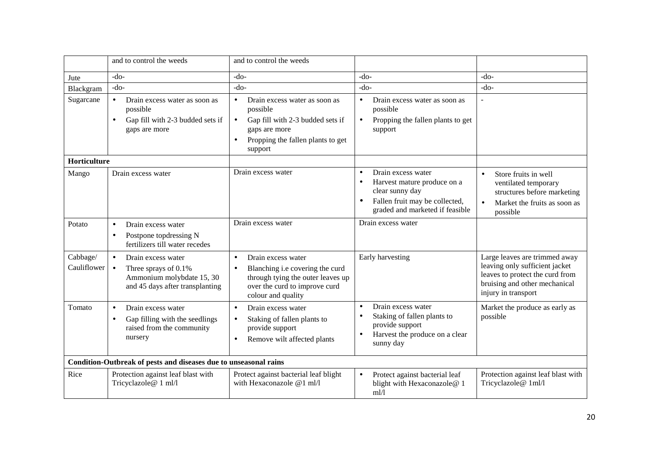|                         | and to control the weeds                                                                                                             | and to control the weeds                                                                                                                                                              |                                                                                                                                                                                  |                                                                                                                                                            |  |  |
|-------------------------|--------------------------------------------------------------------------------------------------------------------------------------|---------------------------------------------------------------------------------------------------------------------------------------------------------------------------------------|----------------------------------------------------------------------------------------------------------------------------------------------------------------------------------|------------------------------------------------------------------------------------------------------------------------------------------------------------|--|--|
| Jute                    | $-do-$                                                                                                                               | $-do-$                                                                                                                                                                                | $-do-$                                                                                                                                                                           | $-do-$                                                                                                                                                     |  |  |
| Blackgram               | $-do-$                                                                                                                               | $-do-$                                                                                                                                                                                | $-do-$                                                                                                                                                                           | $-do-$                                                                                                                                                     |  |  |
| Sugarcane               | Drain excess water as soon as<br>possible<br>Gap fill with 2-3 budded sets if<br>$\bullet$<br>gaps are more                          | Drain excess water as soon as<br>$\bullet$<br>possible<br>Gap fill with 2-3 budded sets if<br>$\bullet$<br>gaps are more<br>Propping the fallen plants to get<br>$\bullet$<br>support | Drain excess water as soon as<br>$\bullet$<br>possible<br>Propping the fallen plants to get<br>$\bullet$<br>support                                                              |                                                                                                                                                            |  |  |
| Horticulture            |                                                                                                                                      |                                                                                                                                                                                       |                                                                                                                                                                                  |                                                                                                                                                            |  |  |
| Mango                   | Drain excess water                                                                                                                   | Drain excess water                                                                                                                                                                    | Drain excess water<br>$\bullet$<br>Harvest mature produce on a<br>$\bullet$<br>clear sunny day<br>Fallen fruit may be collected,<br>$\bullet$<br>graded and marketed if feasible | Store fruits in well<br>$\bullet$<br>ventilated temporary<br>structures before marketing<br>Market the fruits as soon as<br>$\bullet$<br>possible          |  |  |
| Potato                  | Drain excess water<br>$\bullet$                                                                                                      | Drain excess water                                                                                                                                                                    | Drain excess water                                                                                                                                                               |                                                                                                                                                            |  |  |
|                         | Postpone topdressing N<br>$\bullet$<br>fertilizers till water recedes                                                                |                                                                                                                                                                                       |                                                                                                                                                                                  |                                                                                                                                                            |  |  |
| Cabbage/<br>Cauliflower | Drain excess water<br>$\bullet$<br>Three sprays of 0.1%<br>$\bullet$<br>Ammonium molybdate 15, 30<br>and 45 days after transplanting | Drain excess water<br>$\bullet$<br>Blanching i.e covering the curd<br>$\bullet$<br>through tying the outer leaves up<br>over the curd to improve curd<br>colour and quality           | Early harvesting                                                                                                                                                                 | Large leaves are trimmed away<br>leaving only sufficient jacket<br>leaves to protect the curd from<br>bruising and other mechanical<br>injury in transport |  |  |
| Tomato                  | Drain excess water<br>$\bullet$<br>Gap filling with the seedlings<br>$\bullet$<br>raised from the community<br>nursery               | Drain excess water<br>$\bullet$<br>Staking of fallen plants to<br>$\bullet$<br>provide support<br>Remove wilt affected plants<br>$\bullet$                                            | Drain excess water<br>$\bullet$<br>Staking of fallen plants to<br>$\bullet$<br>provide support<br>Harvest the produce on a clear<br>$\bullet$<br>sunny day                       | Market the produce as early as<br>possible                                                                                                                 |  |  |
|                         | Condition-Outbreak of pests and diseases due to unseasonal rains                                                                     |                                                                                                                                                                                       |                                                                                                                                                                                  |                                                                                                                                                            |  |  |
| Rice                    | Protection against leaf blast with<br>Tricyclazole@ 1 ml/l                                                                           | Protect against bacterial leaf blight<br>with Hexaconazole @1 ml/l                                                                                                                    | Protect against bacterial leaf<br>$\bullet$<br>blight with Hexaconazole@ 1<br>ml/l                                                                                               | Protection against leaf blast with<br>Tricyclazole@ 1ml/l                                                                                                  |  |  |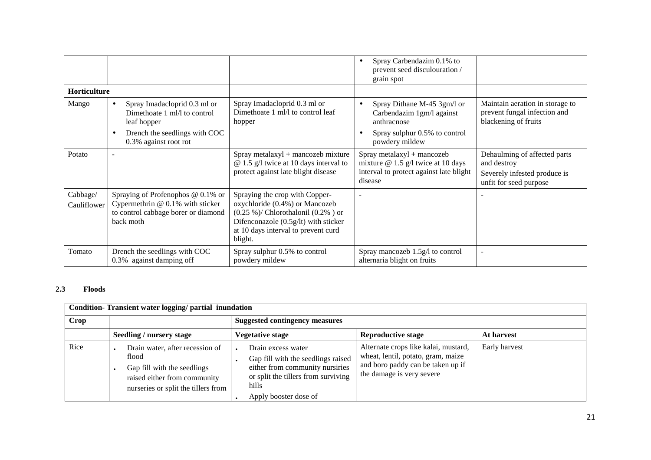|                         |                                                                                                                             |                                                                                                                                                                                                        | Spray Carbendazim 0.1% to<br>$\bullet$<br>prevent seed disculouration /<br>grain spot                                    |                                                                                                       |
|-------------------------|-----------------------------------------------------------------------------------------------------------------------------|--------------------------------------------------------------------------------------------------------------------------------------------------------------------------------------------------------|--------------------------------------------------------------------------------------------------------------------------|-------------------------------------------------------------------------------------------------------|
| Horticulture            |                                                                                                                             |                                                                                                                                                                                                        |                                                                                                                          |                                                                                                       |
| Mango                   | Spray Imadacloprid 0.3 ml or<br>$\bullet$<br>Dimethoate 1 ml/l to control<br>leaf hopper                                    | Spray Imadacloprid 0.3 ml or<br>Dimethoate 1 ml/l to control leaf<br>hopper                                                                                                                            | Spray Dithane M-45 3gm/l or<br>$\bullet$<br>Carbendazim 1gm/l against<br>anthracnose                                     | Maintain aeration in storage to<br>prevent fungal infection and<br>blackening of fruits               |
|                         | Drench the seedlings with COC<br>$\bullet$<br>0.3% against root rot                                                         |                                                                                                                                                                                                        | Spray sulphur 0.5% to control<br>$\bullet$<br>powdery mildew                                                             |                                                                                                       |
| Potato                  |                                                                                                                             | Spray metalaxyl + mancozeb mixture<br>$@ 1.5 g/l$ twice at 10 days interval to<br>protect against late blight disease                                                                                  | Spray metalaxyl + mancozeb<br>mixture $@ 1.5 g/l$ twice at 10 days<br>interval to protect against late blight<br>disease | Dehaulming of affected parts<br>and destroy<br>Severely infested produce is<br>unfit for seed purpose |
| Cabbage/<br>Cauliflower | Spraying of Profenophos $@$ 0.1% or<br>Cypermethrin @ 0.1% with sticker<br>to control cabbage borer or diamond<br>back moth | Spraying the crop with Copper-<br>oxychloride (0.4%) or Mancozeb<br>$(0.25\%)$ / Chlorothalonil $(0.2\%)$ or<br>Difenconazole (0.5g/lt) with sticker<br>at 10 days interval to prevent curd<br>blight. |                                                                                                                          |                                                                                                       |
| Tomato                  | Drench the seedlings with COC<br>0.3% against damping off                                                                   | Spray sulphur 0.5% to control<br>powdery mildew                                                                                                                                                        | Spray mancozeb 1.5g/l to control<br>alternaria blight on fruits                                                          |                                                                                                       |

#### **2.3 Floods**

| Condition-Transient water logging/partial inundation |                                                                                                                                                |                                                                                                                                                                      |                                                                                                                                              |               |  |
|------------------------------------------------------|------------------------------------------------------------------------------------------------------------------------------------------------|----------------------------------------------------------------------------------------------------------------------------------------------------------------------|----------------------------------------------------------------------------------------------------------------------------------------------|---------------|--|
| <b>Crop</b>                                          |                                                                                                                                                | <b>Suggested contingency measures</b>                                                                                                                                |                                                                                                                                              |               |  |
|                                                      | <b>Seedling / nursery stage</b>                                                                                                                | <b>Vegetative stage</b>                                                                                                                                              | <b>Reproductive stage</b>                                                                                                                    | At harvest    |  |
| Rice                                                 | Drain water, after recession of<br>flood<br>Gap fill with the seedlings<br>raised either from community<br>nurseries or split the tillers from | Drain excess water<br>Gap fill with the seedlings raised<br>either from community nursiries<br>or split the tillers from surviving<br>hills<br>Apply booster dose of | Alternate crops like kalai, mustard,<br>wheat, lentil, potato, gram, maize<br>and boro paddy can be taken up if<br>the damage is very severe | Early harvest |  |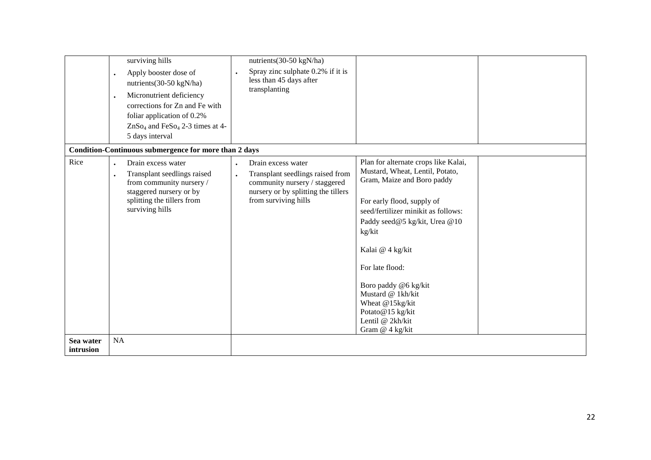|                        | surviving hills<br>Apply booster dose of<br>$\bullet$<br>nutrients(30-50 kgN/ha)<br>Micronutrient deficiency<br>corrections for Zn and Fe with<br>foliar application of 0.2%<br>$ZnSo4$ and FeSo <sub>4</sub> 2-3 times at 4-<br>5 days interval | nutrients(30-50 kgN/ha)<br>Spray zinc sulphate 0.2% if it is<br>less than 45 days after<br>transplanting                                                                                                                                                                                                                                                                                                                                                                                                                                          |
|------------------------|--------------------------------------------------------------------------------------------------------------------------------------------------------------------------------------------------------------------------------------------------|---------------------------------------------------------------------------------------------------------------------------------------------------------------------------------------------------------------------------------------------------------------------------------------------------------------------------------------------------------------------------------------------------------------------------------------------------------------------------------------------------------------------------------------------------|
| Rice                   | Condition-Continuous submergence for more than 2 days<br>Drain excess water<br>$\bullet$<br>Transplant seedlings raised<br>from community nursery /<br>staggered nursery or by<br>splitting the tillers from<br>surviving hills                  | Plan for alternate crops like Kalai,<br>Drain excess water<br>Mustard, Wheat, Lentil, Potato,<br>Transplant seedlings raised from<br>Gram, Maize and Boro paddy<br>community nursery / staggered<br>nursery or by splitting the tillers<br>from surviving hills<br>For early flood, supply of<br>seed/fertilizer minikit as follows:<br>Paddy seed@5 kg/kit, Urea @10<br>kg/kit<br>Kalai @ 4 kg/kit<br>For late flood:<br>Boro paddy @6 kg/kit<br>Mustard @ 1kh/kit<br>Wheat @15kg/kit<br>Potato@15 kg/kit<br>Lentil @ 2kh/kit<br>Gram @ 4 kg/kit |
| Sea water<br>intrusion | NA                                                                                                                                                                                                                                               |                                                                                                                                                                                                                                                                                                                                                                                                                                                                                                                                                   |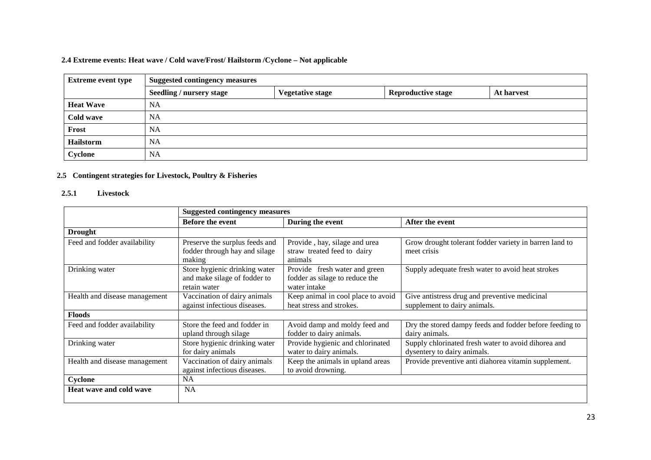## **2.4 Extreme events: Heat wave / Cold wave/Frost/ Hailstorm /Cyclone – Not applicable**

| <b>Extreme event type</b> | <b>Suggested contingency measures</b> |                         |                           |            |  |  |
|---------------------------|---------------------------------------|-------------------------|---------------------------|------------|--|--|
|                           | <b>Seedling / nursery stage</b>       | <b>Vegetative stage</b> | <b>Reproductive stage</b> | At harvest |  |  |
| <b>Heat Wave</b>          | <b>NA</b>                             |                         |                           |            |  |  |
| Cold wave                 | <b>NA</b>                             |                         |                           |            |  |  |
| Frost                     | <b>NA</b>                             |                         |                           |            |  |  |
| Hailstorm                 | <b>NA</b>                             |                         |                           |            |  |  |
| Cyclone                   | <b>NA</b>                             |                         |                           |            |  |  |

## **2.5 Contingent strategies for Livestock, Poultry & Fisheries**

#### **2.5.1 Livestock**

|                               | <b>Suggested contingency measures</b>                                         |                                                                                 |                                                                                    |  |
|-------------------------------|-------------------------------------------------------------------------------|---------------------------------------------------------------------------------|------------------------------------------------------------------------------------|--|
|                               | <b>Before the event</b>                                                       | During the event                                                                | After the event                                                                    |  |
| <b>Drought</b>                |                                                                               |                                                                                 |                                                                                    |  |
| Feed and fodder availability  | Preserve the surplus feeds and<br>fodder through hay and silage<br>making     | Provide, hay, silage and urea<br>straw treated feed to dairy<br>animals         | Grow drought tolerant fodder variety in barren land to<br>meet crisis              |  |
| Drinking water                | Store hygienic drinking water<br>and make silage of fodder to<br>retain water | Provide fresh water and green<br>fodder as silage to reduce the<br>water intake | Supply adequate fresh water to avoid heat strokes                                  |  |
| Health and disease management | Vaccination of dairy animals<br>against infectious diseases.                  | Keep animal in cool place to avoid<br>heat stress and strokes.                  | Give antistress drug and preventive medicinal<br>supplement to dairy animals.      |  |
| <b>Floods</b>                 |                                                                               |                                                                                 |                                                                                    |  |
| Feed and fodder availability  | Store the feed and fodder in<br>upland through silage                         | Avoid damp and moldy feed and<br>fodder to dairy animals.                       | Dry the stored dampy feeds and fodder before feeding to<br>dairy animals.          |  |
| Drinking water                | Store hygienic drinking water<br>for dairy animals                            | Provide hygienic and chlorinated<br>water to dairy animals.                     | Supply chlorinated fresh water to avoid dihorea and<br>dysentery to dairy animals. |  |
| Health and disease management | Vaccination of dairy animals<br>against infectious diseases.                  | Keep the animals in upland areas<br>to avoid drowning.                          | Provide preventive anti diahorea vitamin supplement.                               |  |
| Cyclone                       | <b>NA</b>                                                                     |                                                                                 |                                                                                    |  |
| Heat wave and cold wave       | <b>NA</b>                                                                     |                                                                                 |                                                                                    |  |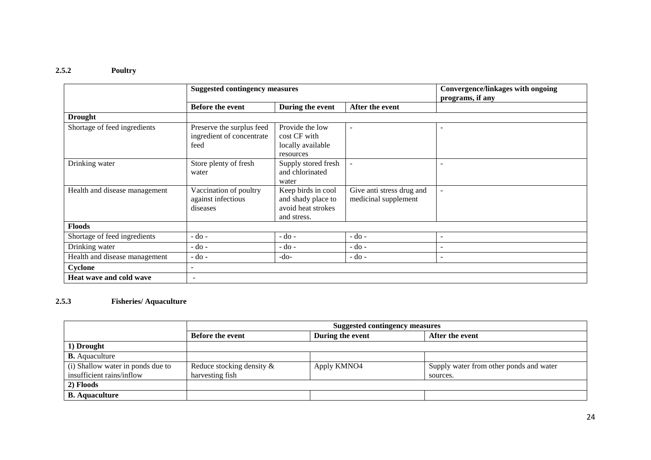## **2.5.2 Poultry**

|                               | <b>Suggested contingency measures</b>                          |                                                                               |                                                   | <b>Convergence/linkages with ongoing</b><br>programs, if any |
|-------------------------------|----------------------------------------------------------------|-------------------------------------------------------------------------------|---------------------------------------------------|--------------------------------------------------------------|
|                               | <b>Before the event</b>                                        | During the event                                                              | After the event                                   |                                                              |
| <b>Drought</b>                |                                                                |                                                                               |                                                   |                                                              |
| Shortage of feed ingredients  | Preserve the surplus feed<br>ingredient of concentrate<br>feed | Provide the low<br>cost CF with<br>locally available<br>resources             | $\sim$                                            |                                                              |
| Drinking water                | Store plenty of fresh<br>water                                 | Supply stored fresh<br>and chlorinated<br>water                               | $\sim$                                            |                                                              |
| Health and disease management | Vaccination of poultry<br>against infectious<br>diseases       | Keep birds in cool<br>and shady place to<br>avoid heat strokes<br>and stress. | Give anti stress drug and<br>medicinal supplement | $\overline{\phantom{a}}$                                     |
| <b>Floods</b>                 |                                                                |                                                                               |                                                   |                                                              |
| Shortage of feed ingredients  | $-do$ -                                                        | $-do$ -                                                                       | $-do$ -                                           |                                                              |
| Drinking water                | $-do$ -                                                        | $-do$ -                                                                       | $-do$ -                                           |                                                              |
| Health and disease management | $-do -$                                                        | $-do-$                                                                        | $-do -$                                           | $\overline{\phantom{a}}$                                     |
| Cyclone                       |                                                                |                                                                               |                                                   |                                                              |
| Heat wave and cold wave       | $\sim$                                                         |                                                                               |                                                   |                                                              |

#### **2.5.3 Fisheries/ Aquaculture**

|                                                                | <b>Suggested contingency measures</b>        |                  |                                                     |  |
|----------------------------------------------------------------|----------------------------------------------|------------------|-----------------------------------------------------|--|
|                                                                | <b>Before the event</b>                      | During the event | After the event                                     |  |
| 1) Drought                                                     |                                              |                  |                                                     |  |
| <b>B.</b> Aquaculture                                          |                                              |                  |                                                     |  |
| (i) Shallow water in ponds due to<br>insufficient rains/inflow | Reduce stocking density &<br>harvesting fish | Apply KMNO4      | Supply water from other ponds and water<br>sources. |  |
| 2) Floods                                                      |                                              |                  |                                                     |  |
| <b>B.</b> Aquaculture                                          |                                              |                  |                                                     |  |